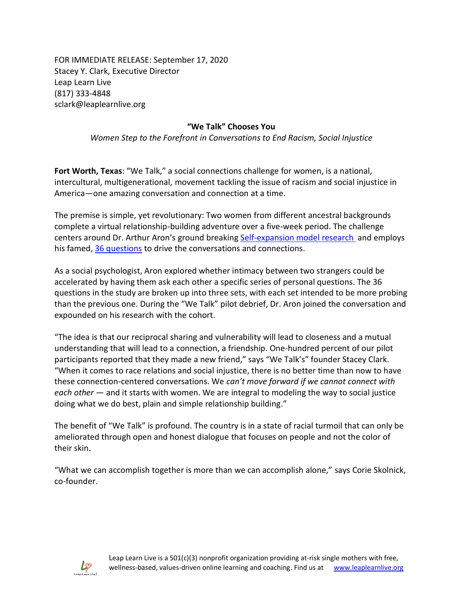FOR IMMEDIATE RELEASE: September 17, 2020 Stacey Y. Clark, Executive Director Leap Learn Live (817) 333-4848 sclark@leaplearnlive.org

## **"We Talk" Chooses You**

*Women Step to the Forefront in Conversations to End Racism, Social Injustice*

**Fort Worth, Texas**: "We Talk," a social connections challenge for women, is a national, intercultural, multigenerational, movement tackling the issue of racism and social injustice in America—one amazing conversation and connection at a time.

The premise is simple, yet revolutionary: Two women from different ancestral backgrounds complete a virtual relationship-building adventure over a five-week period. The challenge centers around Dr. Arthur Aron's ground breaking [Self-expansion model](https://en.wikipedia.org/wiki/Self-expansion_model#Self-expansion,_including_the_outgroup_in_the_self,_and_intergroup_relations) research and employs his famed, [36 questions](https://www.nytimes.com/2015/01/11/style/modern-love-to-fall-in-love-with-anyone-do-this.html) to drive the conversations and connections.

As a social psychologist, Aron explored whether intimacy between two strangers could be accelerated by having them ask each other a specific series of personal questions. The 36 questions in the study are broken up into three sets, with each set intended to be more probing than the previous one. During the "We Talk" pilot debrief, Dr. Aron joined the conversation and expounded on his research with the cohort.

"The idea is that our reciprocal sharing and vulnerability will lead to closeness and a mutual understanding that will lead to a connection, a friendship. One-hundred percent of our pilot participants reported that they made a new friend," says "We Talk's" founder Stacey Clark. "When it comes to race relations and social injustice, there is no better time than now to have these connection-centered conversations. We *can't move forward if we cannot connect with each other* — and it starts with women. We are integral to modeling the way to social justice doing what we do best, plain and simple relationship building."

The benefit of "We Talk" is profound. The country is in a state of racial turmoil that can only be ameliorated through open and honest dialogue that focuses on people and not the color of their skin.

"What we can accomplish together is more than we can accomplish alone," says Corie Skolnick, co-founder.